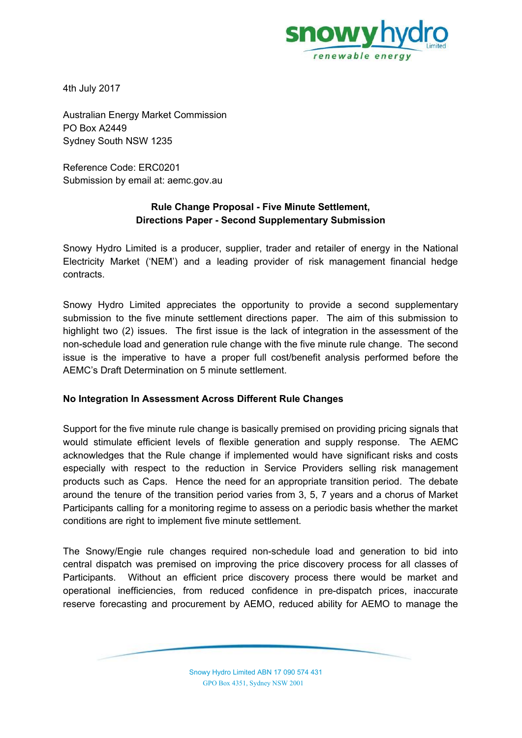

4th July 2017

Australian Energy Market Commission PO Box A2449 Sydney South NSW 1235

Reference Code: ERC0201 Submission by email at: aemc.gov.au

## **Rule Change Proposal - Five Minute Settlement, Directions Paper - Second Supplementary Submission**

Snowy Hydro Limited is a producer, supplier, trader and retailer of energy in the National Electricity Market ('NEM') and a leading provider of risk management financial hedge contracts.

Snowy Hydro Limited appreciates the opportunity to provide a second supplementary submission to the five minute settlement directions paper. The aim of this submission to highlight two (2) issues. The first issue is the lack of integration in the assessment of the non-schedule load and generation rule change with the five minute rule change. The second issue is the imperative to have a proper full cost/benefit analysis performed before the AEMC's Draft Determination on 5 minute settlement.

## **No Integration In Assessment Across Different Rule Changes**

Support for the five minute rule change is basically premised on providing pricing signals that would stimulate efficient levels of flexible generation and supply response. The AEMC acknowledges that the Rule change if implemented would have significant risks and costs especially with respect to the reduction in Service Providers selling risk management products such as Caps. Hence the need for an appropriate transition period. The debate around the tenure of the transition period varies from 3, 5, 7 years and a chorus of Market Participants calling for a monitoring regime to assess on a periodic basis whether the market conditions are right to implement five minute settlement.

The Snowy/Engie rule changes required non-schedule load and generation to bid into central dispatch was premised on improving the price discovery process for all classes of Participants. Without an efficient price discovery process there would be market and operational inefficiencies, from reduced confidence in pre-dispatch prices, inaccurate reserve forecasting and procurement by AEMO, reduced ability for AEMO to manage the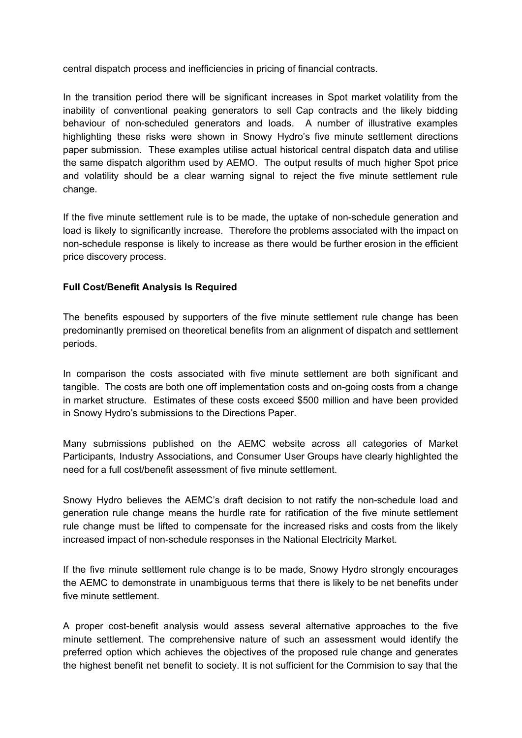central dispatch process and inefficiencies in pricing of financial contracts.

In the transition period there will be significant increases in Spot market volatility from the inability of conventional peaking generators to sell Cap contracts and the likely bidding behaviour of non-scheduled generators and loads. A number of illustrative examples highlighting these risks were shown in Snowy Hydro's five minute settlement directions paper submission. These examples utilise actual historical central dispatch data and utilise the same dispatch algorithm used by AEMO. The output results of much higher Spot price and volatility should be a clear warning signal to reject the five minute settlement rule change.

If the five minute settlement rule is to be made, the uptake of non-schedule generation and load is likely to significantly increase. Therefore the problems associated with the impact on non-schedule response is likely to increase as there would be further erosion in the efficient price discovery process.

## **Full Cost/Benefit Analysis Is Required**

The benefits espoused by supporters of the five minute settlement rule change has been predominantly premised on theoretical benefits from an alignment of dispatch and settlement periods.

In comparison the costs associated with five minute settlement are both significant and tangible. The costs are both one off implementation costs and on-going costs from a change in market structure. Estimates of these costs exceed \$500 million and have been provided in Snowy Hydro's submissions to the Directions Paper.

Many submissions published on the AEMC website across all categories of Market Participants, Industry Associations, and Consumer User Groups have clearly highlighted the need for a full cost/benefit assessment of five minute settlement.

Snowy Hydro believes the AEMC's draft decision to not ratify the non-schedule load and generation rule change means the hurdle rate for ratification of the five minute settlement rule change must be lifted to compensate for the increased risks and costs from the likely increased impact of non-schedule responses in the National Electricity Market.

If the five minute settlement rule change is to be made, Snowy Hydro strongly encourages the AEMC to demonstrate in unambiguous terms that there is likely to be net benefits under five minute settlement.

A proper cost-benefit analysis would assess several alternative approaches to the five minute settlement. The comprehensive nature of such an assessment would identify the preferred option which achieves the objectives of the proposed rule change and generates the highest benefit net benefit to society. It is not sufficient for the Commision to say that the